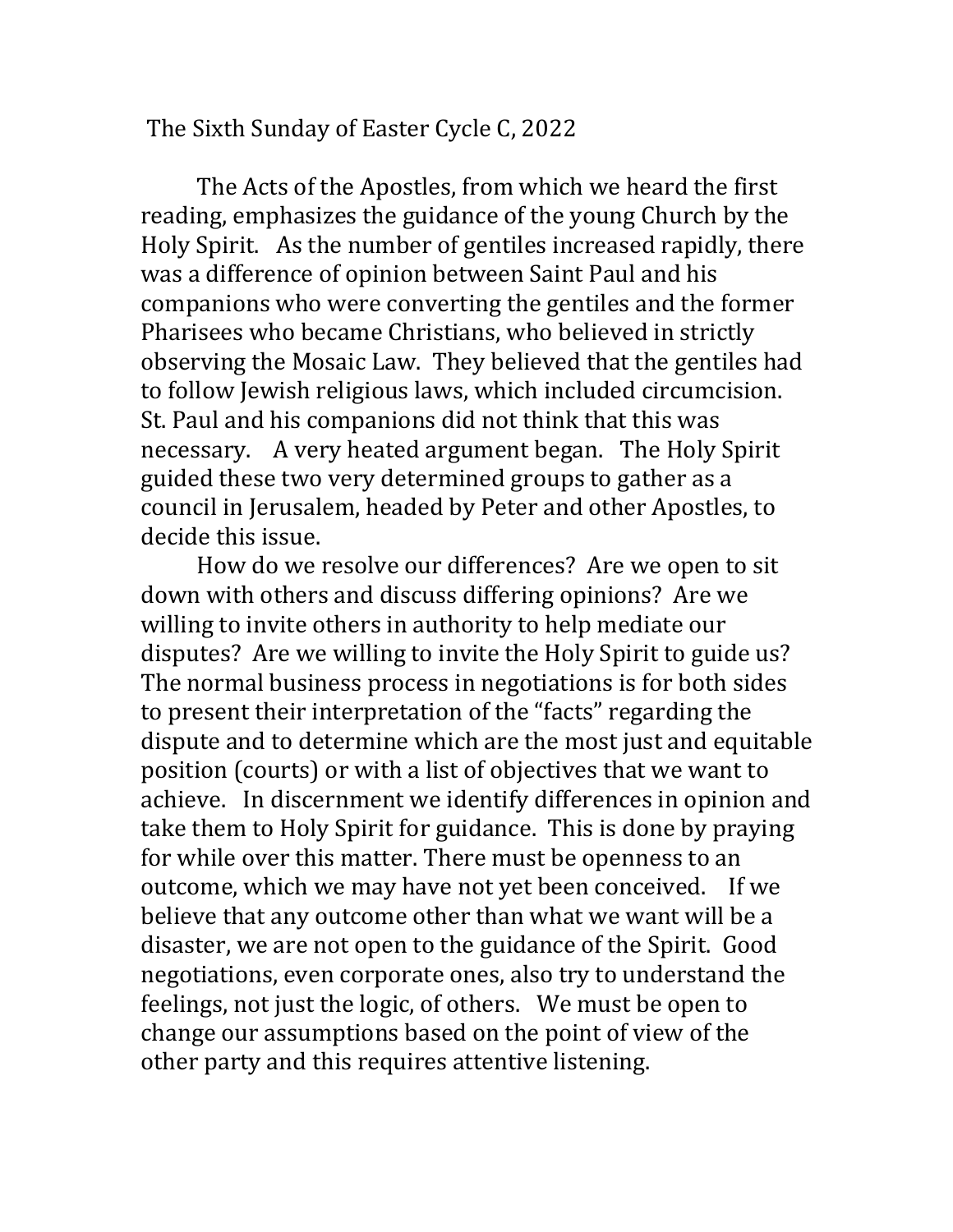The Sixth Sunday of Easter Cycle C, 2022

The Acts of the Apostles, from which we heard the first reading, emphasizes the guidance of the young Church by the Holy Spirit. As the number of gentiles increased rapidly, there was a difference of opinion between Saint Paul and his companions who were converting the gentiles and the former Pharisees who became Christians, who believed in strictly observing the Mosaic Law. They believed that the gentiles had to follow Jewish religious laws, which included circumcision. St. Paul and his companions did not think that this was necessary. A very heated argument began. The Holy Spirit guided these two very determined groups to gather as a council in Jerusalem, headed by Peter and other Apostles, to decide this issue.

How do we resolve our differences? Are we open to sit down with others and discuss differing opinions? Are we willing to invite others in authority to help mediate our disputes? Are we willing to invite the Holy Spirit to guide us? The normal business process in negotiations is for both sides to present their interpretation of the "facts" regarding the dispute and to determine which are the most just and equitable position (courts) or with a list of objectives that we want to achieve. In discernment we identify differences in opinion and take them to Holy Spirit for guidance. This is done by praying for while over this matter. There must be openness to an outcome, which we may have not yet been conceived. If we believe that any outcome other than what we want will be a disaster, we are not open to the guidance of the Spirit. Good negotiations, even corporate ones, also try to understand the feelings, not just the logic, of others. We must be open to change our assumptions based on the point of view of the other party and this requires attentive listening.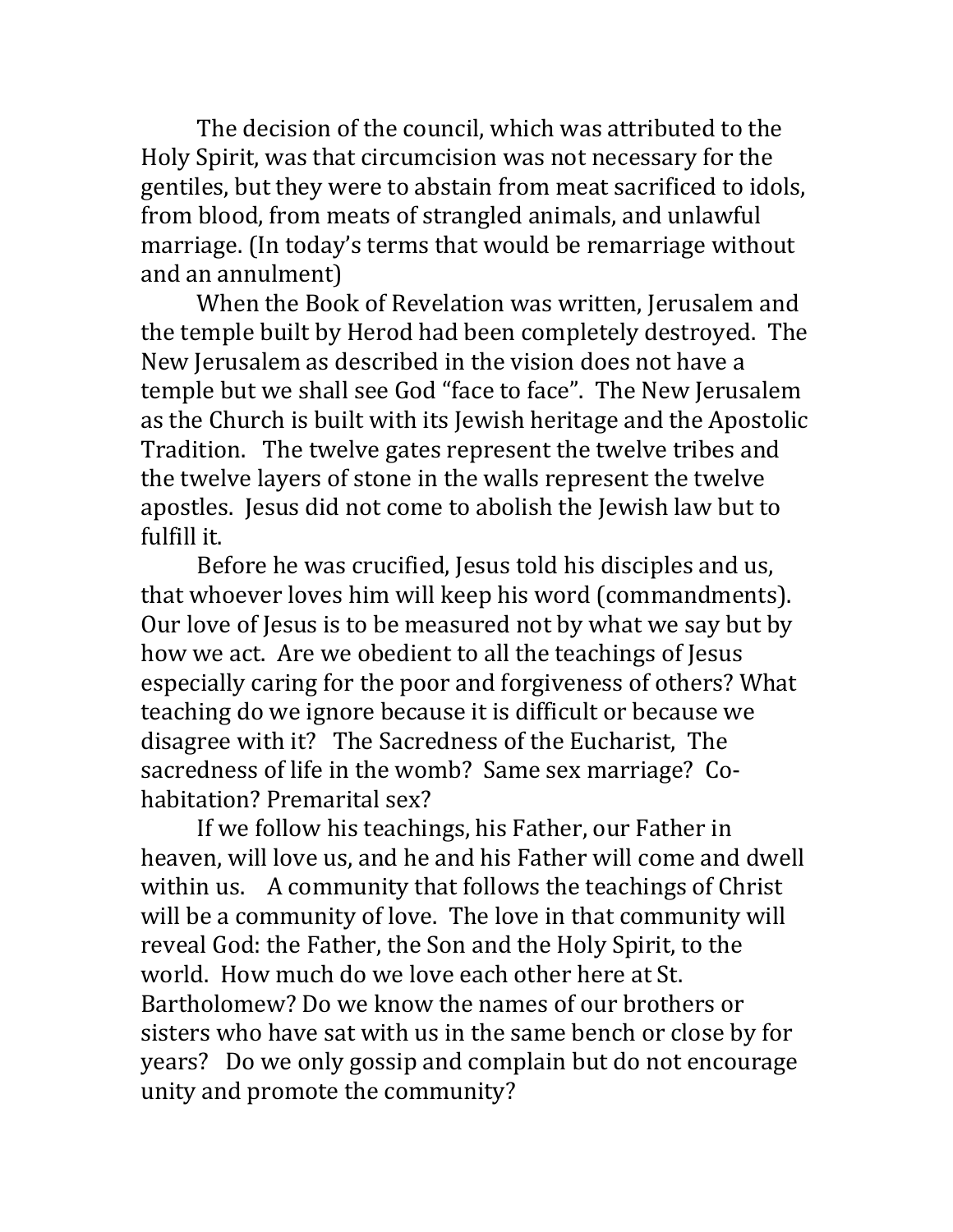The decision of the council, which was attributed to the Holy Spirit, was that circumcision was not necessary for the gentiles, but they were to abstain from meat sacrificed to idols, from blood, from meats of strangled animals, and unlawful marriage. (In today's terms that would be remarriage without and an annulment)

When the Book of Revelation was written, Jerusalem and the temple built by Herod had been completely destroyed. The New Jerusalem as described in the vision does not have a temple but we shall see God "face to face". The New Jerusalem as the Church is built with its Jewish heritage and the Apostolic Tradition. The twelve gates represent the twelve tribes and the twelve layers of stone in the walls represent the twelve apostles. Jesus did not come to abolish the Jewish law but to fulfill it.

Before he was crucified, Jesus told his disciples and us, that whoever loves him will keep his word (commandments). Our love of Jesus is to be measured not by what we say but by how we act. Are we obedient to all the teachings of Jesus especially caring for the poor and forgiveness of others? What teaching do we ignore because it is difficult or because we disagree with it? The Sacredness of the Eucharist, The sacredness of life in the womb? Same sex marriage? Cohabitation? Premarital sex?

If we follow his teachings, his Father, our Father in heaven, will love us, and he and his Father will come and dwell within us. A community that follows the teachings of Christ will be a community of love. The love in that community will reveal God: the Father, the Son and the Holy Spirit, to the world. How much do we love each other here at St. Bartholomew? Do we know the names of our brothers or sisters who have sat with us in the same bench or close by for years? Do we only gossip and complain but do not encourage unity and promote the community?